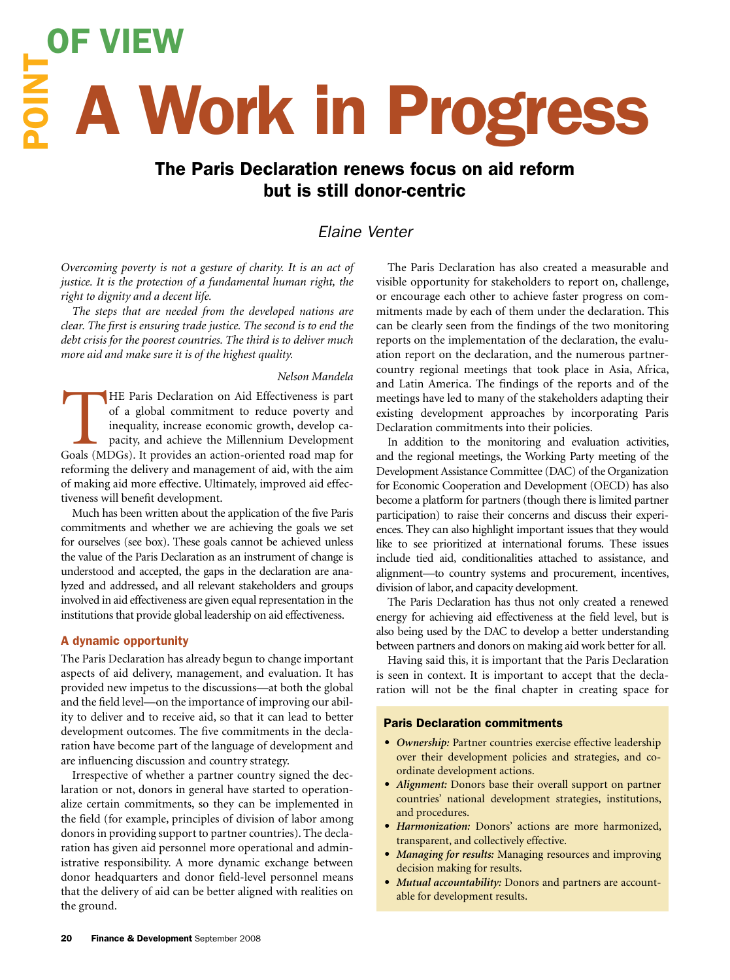# $\frac{2}{5}$  A Work in Progress OF VIEW

## The Paris Declaration renews focus on aid reform but is still donor-centric

### *Elaine Venter*

*Overcoming poverty is not a gesture of charity. It is an act of justice. It is the protection of a fundamental human right, the right to dignity and a decent life.*

*The steps that are needed from the developed nations are clear. The first is ensuring trade justice. The second is to end the debt crisis for the poorest countries. The third is to deliver much*  more aid and make sure it is of the highest quality.

#### *Nelson Mandela*

HE Paris Declaration on Aid Effectiveness is part of a global commitment to reduce poverty and inequality, increase economic growth, develop capacity, and achieve the Millennium Development Goals (MDGs). It provides an act of a global commitment to reduce poverty and inequality, increase economic growth, develop capacity, and achieve the Millennium Development reforming the delivery and management of aid, with the aim of making aid more effective. Ultimately, improved aid effectiveness will benefit development.

Much has been written about the application of the five Paris commitments and whether we are achieving the goals we set for ourselves (see box). These goals cannot be achieved unless the value of the Paris Declaration as an instrument of change is understood and accepted, the gaps in the declaration are analyzed and addressed, and all relevant stakeholders and groups involved in aid effectiveness are given equal representation in the institutions that provide global leadership on aid effectiveness.

#### A dynamic opportunity

The Paris Declaration has already begun to change important aspects of aid delivery, management, and evaluation. It has provided new impetus to the discussions—at both the global and the field level—on the importance of improving our ability to deliver and to receive aid, so that it can lead to better development outcomes. The five commitments in the declaration have become part of the language of development and are influencing discussion and country strategy.-

Irrespective of whether a partner country signed the declaration or not, donors in general have started to operationalize certain commitments, so they can be implemented in the field (for example, principles of division of labor among donors in providing support to partner countries). The declaration has given aid personnel more operational and administrative responsibility. A more dynamic exchange between donor headquarters and donor field-level personnel means that the delivery of aid can be better aligned with realities on the ground.-

The Paris Declaration has also created a measurable and visible opportunity for stakeholders to report on, challenge, or encourage each other to achieve faster progress on commitments made by each of them under the declaration. This can be clearly seen from the findings of the two monitoring reports on the implementation of the declaration, the evaluation report on the declaration, and the numerous partnercountry regional meetings that took place in Asia, Africa, and Latin America. The findings of the reports and of the meetings have led to many of the stakeholders adapting their existing development approaches by incorporating Paris Declaration commitments into their policies.

In addition to the monitoring and evaluation activities, and the regional meetings, the Working Party meeting of the Development Assistance Committee (DAC) of the Organization for Economic Cooperation and Development (OECD) has also become a platform for partners (though there is limited partner participation) to raise their concerns and discuss their experiences. They can also highlight important issues that they would like to see prioritized at international forums. These issues include tied aid, conditionalities attached to assistance, and alignment—to country systems and procurement, incentives, division of labor, and capacity development.

The Paris Declaration has thus not only created a renewed energy for achieving aid effectiveness at the field level, but is also being used by the DAC to develop a better understanding between partners and donors on making aid work better for all.-

Having said this, it is important that the Paris Declaration is seen in context. It is important to accept that the declaration will not be the final chapter in creating space for

#### Paris Declaration commitments

- *Ownership:* Partner countries exercise effective leadership over their development policies and strategies, and coordinate development actions.
- *Alignment:* Donors base their overall support on partner countries' national development strategies, institutions, and procedures.
- *Harmonization:* Donors' actions are more harmonized, transparent, and collectively effective.
- *Managing for results:* Managing resources and improving decision making for results.
- *Mutual accountability:* Donors and partners are accountable for development results.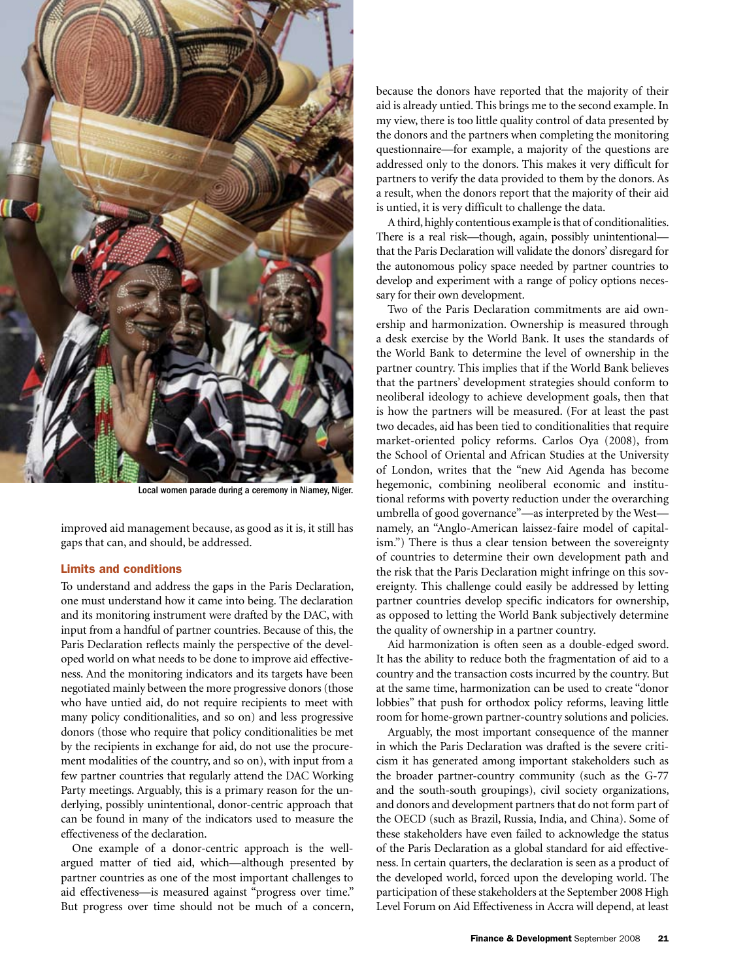

Local women parade during a ceremony in Niamey, Niger.

improved aid management because, as good as it is, it still has gaps that can, and should, be addressed.-

#### Limits and conditions

To understand and address the gaps in the Paris Declaration, one must understand how it came into being. The declaration and its monitoring instrument were drafted by the DAC, with input from a handful of partner countries. Because of this, the Paris Declaration reflects mainly the perspective of the developed world on what needs to be done to improve aid effectiveness. And the monitoring indicators and its targets have been negotiated mainly between the more progressive donors (those who have untied aid, do not require recipients to meet with many policy conditionalities, and so on) and less progressive donors (those who require that policy conditionalities be met by the recipients in exchange for aid, do not use the procurement modalities of the country, and so on), with input from a few partner countries that regularly attend the DAC Working Party meetings. Arguably, this is a primary reason for the underlying, possibly unintentional, donor-centric approach that can be found in many of the indicators used to measure the effectiveness of the declaration.

One example of a donor-centric approach is the wellargued matter of tied aid, which—although presented by partner countries as one of the most important challenges to aid effectiveness—is measured against "progress over time." But progress over time should not be much of a concern,

because the donors have reported that the majority of their aid is already untied. This brings me to the second example. In my view, there is too little quality control of data presented by the donors and the partners when completing the monitoring questionnaire—for example, a majority of the questions are addressed only to the donors. This makes it very difficult for partners to verify the data provided to them by the donors. As a result, when the donors report that the majority of their aid is untied, it is very difficult to challenge the data.

A third, highly contentious example is that of conditionalities. There is a real risk—though, again, possibly unintentional that the Paris Declaration will validate the donors' disregard for the autonomous policy space needed by partner countries to develop and experiment with a range of policy options necessary for their own development.

Two of the Paris Declaration commitments are aid ownership and harmonization. Ownership is measured through a desk exercise by the World Bank. It uses the standards of the World Bank to determine the level of ownership in the partner country. This implies that if the World Bank believes that the partners' development strategies should conform to neoliberal ideology to achieve development goals, then that is how the partners will be measured. (For at least the past two decades, aid has been tied to conditionalities that require market-oriented policy reforms. Carlos Oya (2008), from the School of Oriental and African Studies at the University of London, writes that the "new Aid Agenda has become hegemonic, combining neoliberal economic and institutional reforms with poverty reduction under the overarching umbrella of good governance"—as interpreted by the West namely, an "Anglo-American laissez-faire model of capitalism.") There is thus a clear tension between the sovereignty of countries to determine their own development path and the risk that the Paris Declaration might infringe on this sovereignty. This challenge could easily be addressed by letting partner countries develop specific indicators for ownership, as opposed to letting the World Bank subjectively determine the quality of ownership in a partner country.

Aid harmonization is often seen as a double-edged sword. It has the ability to reduce both the fragmentation of aid to a country and the transaction costs incurred by the country. But at the same time, harmonization can be used to create "donor lobbies" that push for orthodox policy reforms, leaving little room for home-grown partner-country solutions and policies.-

Arguably, the most important consequence of the manner in which the Paris Declaration was drafted is the severe criticism it has generated among important stakeholders such as the broader partner-country community (such as the G-77 and the south-south groupings), civil society organizations, and donors and development partners that do not form part of the OECD (such as Brazil, Russia, India, and China). Some of these stakeholders have even failed to acknowledge the status of the Paris Declaration as a global standard for aid effectiveness. In certain quarters, the declaration is seen as a product of the developed world, forced upon the developing world. The participation of these stakeholders at the September 2008 High Level Forum on Aid Effectiveness in Accra will depend, at least